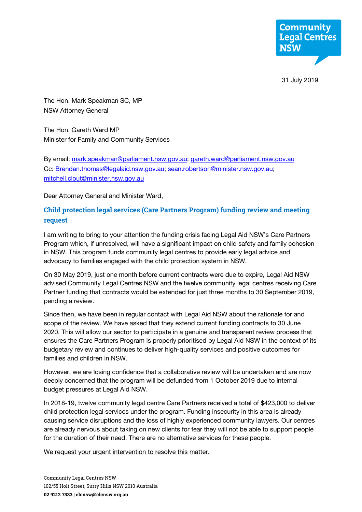

31 July 2019

The Hon. Mark Speakman SC, MP NSW Attorney General

The Hon. Gareth Ward MP Minister for Family and Community Services

By email: mark.speakman@parliament.nsw.gov.au; gareth.ward@parliament.nsw.gov.au Cc: Brendan.thomas@legalaid.nsw.gov.au; sean.robertson@minister.nsw.gov.au; mitchell.clout@minister.nsw.gov.au

Dear Attorney General and Minister Ward,

# **Child protection legal services (Care Partners Program) funding review and meeting request**

I am writing to bring to your attention the funding crisis facing Legal Aid NSW's Care Partners Program which, if unresolved, will have a significant impact on child safety and family cohesion in NSW. This program funds community legal centres to provide early legal advice and advocacy to families engaged with the child protection system in NSW.

On 30 May 2019, just one month before current contracts were due to expire, Legal Aid NSW advised Community Legal Centres NSW and the twelve community legal centres receiving Care Partner funding that contracts would be extended for just three months to 30 September 2019, pending a review.

Since then, we have been in regular contact with Legal Aid NSW about the rationale for and scope of the review. We have asked that they extend current funding contracts to 30 June 2020. This will allow our sector to participate in a genuine and transparent review process that ensures the Care Partners Program is properly prioritised by Legal Aid NSW in the context of its budgetary review and continues to deliver high-quality services and positive outcomes for families and children in NSW.

However, we are losing confidence that a collaborative review will be undertaken and are now deeply concerned that the program will be defunded from 1 October 2019 due to internal budget pressures at Legal Aid NSW.

In 2018-19, twelve community legal centre Care Partners received a total of \$423,000 to deliver child protection legal services under the program. Funding insecurity in this area is already causing service disruptions and the loss of highly experienced community lawyers. Our centres are already nervous about taking on new clients for fear they will not be able to support people for the duration of their need. There are no alternative services for these people.

We request your urgent intervention to resolve this matter.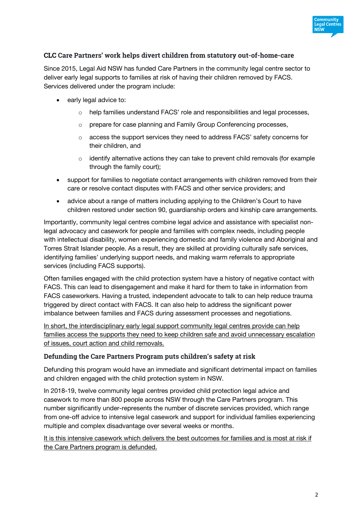

## **CLC Care Partners' work helps divert children from statutory out-of-home-care**

Since 2015, Legal Aid NSW has funded Care Partners in the community legal centre sector to deliver early legal supports to families at risk of having their children removed by FACS. Services delivered under the program include:

- early legal advice to:
	- o help families understand FACS' role and responsibilities and legal processes,
	- o prepare for case planning and Family Group Conferencing processes,
	- $\circ$  access the support services they need to address FACS' safety concerns for their children, and
	- $\circ$  identify alternative actions they can take to prevent child removals (for example through the family court);
- support for families to negotiate contact arrangements with children removed from their care or resolve contact disputes with FACS and other service providers; and
- advice about a range of matters including applying to the Children's Court to have children restored under section 90, guardianship orders and kinship care arrangements.

Importantly, community legal centres combine legal advice and assistance with specialist nonlegal advocacy and casework for people and families with complex needs, including people with intellectual disability, women experiencing domestic and family violence and Aboriginal and Torres Strait Islander people. As a result, they are skilled at providing culturally safe services, identifying families' underlying support needs, and making warm referrals to appropriate services (including FACS supports).

Often families engaged with the child protection system have a history of negative contact with FACS. This can lead to disengagement and make it hard for them to take in information from FACS caseworkers. Having a trusted, independent advocate to talk to can help reduce trauma triggered by direct contact with FACS. It can also help to address the significant power imbalance between families and FACS during assessment processes and negotiations.

In short, the interdisciplinary early legal support community legal centres provide can help families access the supports they need to keep children safe and avoid unnecessary escalation of issues, court action and child removals.

### **Defunding the Care Partners Program puts children's safety at risk**

Defunding this program would have an immediate and significant detrimental impact on families and children engaged with the child protection system in NSW.

In 2018-19, twelve community legal centres provided child protection legal advice and casework to more than 800 people across NSW through the Care Partners program. This number significantly under-represents the number of discrete services provided, which range from one-off advice to intensive legal casework and support for individual families experiencing multiple and complex disadvantage over several weeks or months.

It is this intensive casework which delivers the best outcomes for families and is most at risk if the Care Partners program is defunded.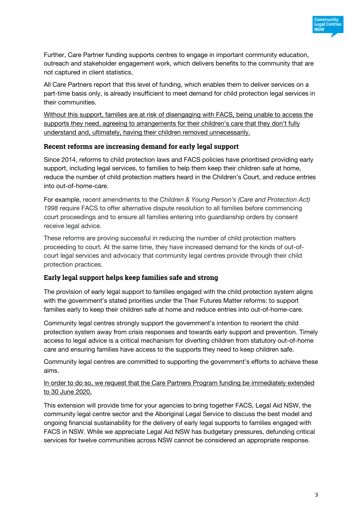

Further, Care Partner funding supports centres to engage in important community education, outreach and stakeholder engagement work, which delivers benefits to the community that are not captured in client statistics.

All Care Partners report that this level of funding, which enables them to deliver services on a part-time basis only, is already insufficient to meet demand for child protection legal services in their communities.

Without this support, families are at risk of disengaging with FACS, being unable to access the supports they need, agreeing to arrangements for their children's care that they don't fully understand and, ultimately, having their children removed unnecessarily.

### **Recent reforms are increasing demand for early legal support**

Since 2014, reforms to child protection laws and FACS policies have prioritised providing early support, including legal services, to families to help them keep their children safe at home, reduce the number of child protection matters heard in the Children's Court, and reduce entries into out-of-home-care.

For example, recent amendments to the *Children & Young Person's (Care and Protection Act) 1998* require FACS to offer alternative dispute resolution to all families before commencing court proceedings and to ensure all families entering into guardianship orders by consent receive legal advice.

These reforms are proving successful in reducing the number of child protection matters proceeding to court. At the same time, they have increased demand for the kinds of out-ofcourt legal services and advocacy that community legal centres provide through their child protection practices.

### **Early legal support helps keep families safe and strong**

The provision of early legal support to families engaged with the child protection system aligns with the government's stated priorities under the Their Futures Matter reforms: to support families early to keep their children safe at home and reduce entries into out-of-home-care.

Community legal centres strongly support the government's intention to reorient the child protection system away from crisis responses and towards early support and prevention. Timely access to legal advice is a critical mechanism for diverting children from statutory out-of-home care and ensuring families have access to the supports they need to keep children safe.

Community legal centres are committed to supporting the government's efforts to achieve these aims.

#### In order to do so, we request that the Care Partners Program funding be immediately extended to 30 June 2020.

This extension will provide time for your agencies to bring together FACS, Legal Aid NSW, the community legal centre sector and the Aboriginal Legal Service to discuss the best model and ongoing financial sustainability for the delivery of early legal supports to families engaged with FACS in NSW. While we appreciate Legal Aid NSW has budgetary pressures, defunding critical services for twelve communities across NSW cannot be considered an appropriate response.